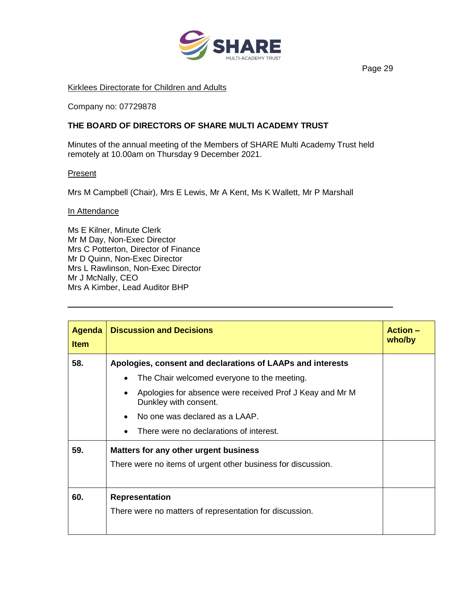

## Kirklees Directorate for Children and Adults

Company no: 07729878

## **THE BOARD OF DIRECTORS OF SHARE MULTI ACADEMY TRUST**

Minutes of the annual meeting of the Members of SHARE Multi Academy Trust held remotely at 10.00am on Thursday 9 December 2021.

## **Present**

Mrs M Campbell (Chair), Mrs E Lewis, Mr A Kent, Ms K Wallett, Mr P Marshall

## In Attendance

Ms E Kilner, Minute Clerk Mr M Day, Non-Exec Director Mrs C Potterton, Director of Finance Mr D Quinn, Non-Exec Director Mrs L Rawlinson, Non-Exec Director Mr J McNally, CEO Mrs A Kimber, Lead Auditor BHP

| Agenda<br><b>Item</b> | <b>Discussion and Decisions</b>                                                   | <b>Action –</b><br>who/by |
|-----------------------|-----------------------------------------------------------------------------------|---------------------------|
| 58.                   | Apologies, consent and declarations of LAAPs and interests                        |                           |
|                       | The Chair welcomed everyone to the meeting.                                       |                           |
|                       | Apologies for absence were received Prof J Keay and Mr M<br>Dunkley with consent. |                           |
|                       | No one was declared as a LAAP.                                                    |                           |
|                       | There were no declarations of interest.                                           |                           |
| 59.                   | Matters for any other urgent business                                             |                           |
|                       | There were no items of urgent other business for discussion.                      |                           |
| 60.                   | <b>Representation</b><br>There were no matters of representation for discussion.  |                           |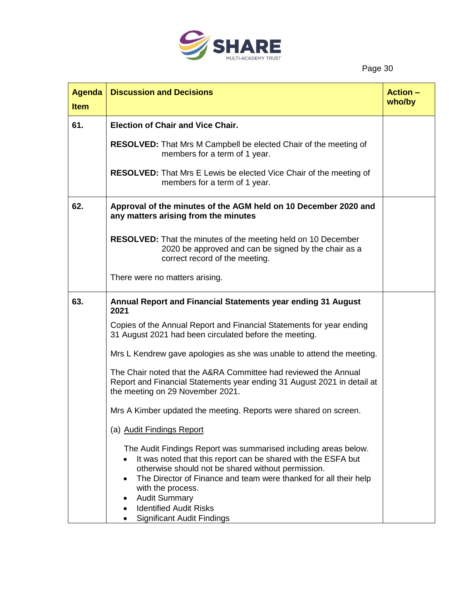

| <b>Agenda</b><br><b>Item</b> | <b>Discussion and Decisions</b>                                                                                                                                                                                                                                                                                                                                               | <b>Action -</b><br>who/by |
|------------------------------|-------------------------------------------------------------------------------------------------------------------------------------------------------------------------------------------------------------------------------------------------------------------------------------------------------------------------------------------------------------------------------|---------------------------|
| 61.                          | <b>Election of Chair and Vice Chair.</b>                                                                                                                                                                                                                                                                                                                                      |                           |
|                              | RESOLVED: That Mrs M Campbell be elected Chair of the meeting of<br>members for a term of 1 year.                                                                                                                                                                                                                                                                             |                           |
|                              | <b>RESOLVED:</b> That Mrs E Lewis be elected Vice Chair of the meeting of<br>members for a term of 1 year.                                                                                                                                                                                                                                                                    |                           |
| 62.                          | Approval of the minutes of the AGM held on 10 December 2020 and<br>any matters arising from the minutes                                                                                                                                                                                                                                                                       |                           |
|                              | <b>RESOLVED:</b> That the minutes of the meeting held on 10 December<br>2020 be approved and can be signed by the chair as a<br>correct record of the meeting.                                                                                                                                                                                                                |                           |
|                              | There were no matters arising.                                                                                                                                                                                                                                                                                                                                                |                           |
| 63.                          | Annual Report and Financial Statements year ending 31 August<br>2021                                                                                                                                                                                                                                                                                                          |                           |
|                              | Copies of the Annual Report and Financial Statements for year ending<br>31 August 2021 had been circulated before the meeting.                                                                                                                                                                                                                                                |                           |
|                              | Mrs L Kendrew gave apologies as she was unable to attend the meeting.                                                                                                                                                                                                                                                                                                         |                           |
|                              | The Chair noted that the A&RA Committee had reviewed the Annual<br>Report and Financial Statements year ending 31 August 2021 in detail at<br>the meeting on 29 November 2021.                                                                                                                                                                                                |                           |
|                              | Mrs A Kimber updated the meeting. Reports were shared on screen.                                                                                                                                                                                                                                                                                                              |                           |
|                              | (a) Audit Findings Report                                                                                                                                                                                                                                                                                                                                                     |                           |
|                              | The Audit Findings Report was summarised including areas below.<br>It was noted that this report can be shared with the ESFA but<br>otherwise should not be shared without permission.<br>The Director of Finance and team were thanked for all their help<br>with the process.<br><b>Audit Summary</b><br><b>Identified Audit Risks</b><br><b>Significant Audit Findings</b> |                           |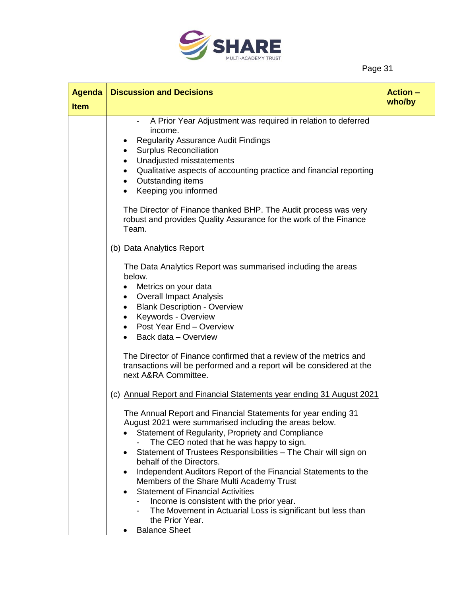

| <b>Agenda</b> | <b>Discussion and Decisions</b>                                                                                                                                                                                                                                                                                                                                                           | <b>Action -</b> |
|---------------|-------------------------------------------------------------------------------------------------------------------------------------------------------------------------------------------------------------------------------------------------------------------------------------------------------------------------------------------------------------------------------------------|-----------------|
| <b>Item</b>   |                                                                                                                                                                                                                                                                                                                                                                                           | who/by          |
|               | A Prior Year Adjustment was required in relation to deferred<br>$\qquad \qquad \blacksquare$<br>income.<br><b>Regularity Assurance Audit Findings</b><br><b>Surplus Reconciliation</b><br>Unadjusted misstatements<br>$\bullet$<br>Qualitative aspects of accounting practice and financial reporting<br>$\bullet$<br>Outstanding items<br>$\bullet$<br>Keeping you informed<br>$\bullet$ |                 |
|               | The Director of Finance thanked BHP. The Audit process was very<br>robust and provides Quality Assurance for the work of the Finance<br>Team.                                                                                                                                                                                                                                             |                 |
|               | (b) Data Analytics Report                                                                                                                                                                                                                                                                                                                                                                 |                 |
|               | The Data Analytics Report was summarised including the areas<br>below.<br>Metrics on your data<br><b>Overall Impact Analysis</b><br>$\bullet$<br><b>Blank Description - Overview</b><br>$\bullet$<br>Keywords - Overview<br>$\bullet$<br>Post Year End - Overview<br>Back data - Overview                                                                                                 |                 |
|               | The Director of Finance confirmed that a review of the metrics and<br>transactions will be performed and a report will be considered at the<br>next A&RA Committee.                                                                                                                                                                                                                       |                 |
|               | (c) Annual Report and Financial Statements year ending 31 August 2021                                                                                                                                                                                                                                                                                                                     |                 |
|               | The Annual Report and Financial Statements for year ending 31<br>August 2021 were summarised including the areas below.<br>Statement of Regularity, Propriety and Compliance<br>The CEO noted that he was happy to sign.<br>Statement of Trustees Responsibilities - The Chair will sign on<br>behalf of the Directors.                                                                   |                 |
|               | Independent Auditors Report of the Financial Statements to the<br>Members of the Share Multi Academy Trust                                                                                                                                                                                                                                                                                |                 |
|               | <b>Statement of Financial Activities</b><br>$\bullet$<br>Income is consistent with the prior year.<br>The Movement in Actuarial Loss is significant but less than<br>the Prior Year.                                                                                                                                                                                                      |                 |
|               | <b>Balance Sheet</b>                                                                                                                                                                                                                                                                                                                                                                      |                 |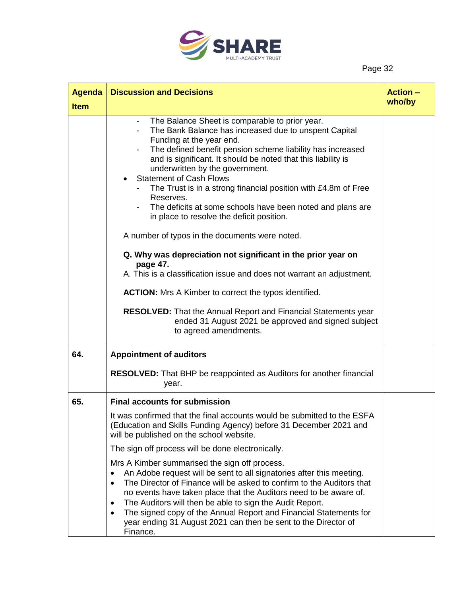

| <b>Agenda</b> | <b>Discussion and Decisions</b>                                                                                                                                                                                                                                                                                                                                                                                                                                                                                                                                                                                                                                                 | <b>Action –</b> |
|---------------|---------------------------------------------------------------------------------------------------------------------------------------------------------------------------------------------------------------------------------------------------------------------------------------------------------------------------------------------------------------------------------------------------------------------------------------------------------------------------------------------------------------------------------------------------------------------------------------------------------------------------------------------------------------------------------|-----------------|
| <b>Item</b>   |                                                                                                                                                                                                                                                                                                                                                                                                                                                                                                                                                                                                                                                                                 | who/by          |
|               | The Balance Sheet is comparable to prior year.<br>$\overline{\phantom{a}}$<br>The Bank Balance has increased due to unspent Capital<br>Funding at the year end.<br>The defined benefit pension scheme liability has increased<br>and is significant. It should be noted that this liability is<br>underwritten by the government.<br><b>Statement of Cash Flows</b><br>The Trust is in a strong financial position with £4.8m of Free<br>Reserves.<br>The deficits at some schools have been noted and plans are<br>in place to resolve the deficit position.<br>A number of typos in the documents were noted.<br>Q. Why was depreciation not significant in the prior year on |                 |
|               | page 47.<br>A. This is a classification issue and does not warrant an adjustment.<br><b>ACTION:</b> Mrs A Kimber to correct the typos identified.<br><b>RESOLVED:</b> That the Annual Report and Financial Statements year<br>ended 31 August 2021 be approved and signed subject<br>to agreed amendments.                                                                                                                                                                                                                                                                                                                                                                      |                 |
| 64.           | <b>Appointment of auditors</b>                                                                                                                                                                                                                                                                                                                                                                                                                                                                                                                                                                                                                                                  |                 |
|               | <b>RESOLVED:</b> That BHP be reappointed as Auditors for another financial<br>year.                                                                                                                                                                                                                                                                                                                                                                                                                                                                                                                                                                                             |                 |
| 65.           | <b>Final accounts for submission</b>                                                                                                                                                                                                                                                                                                                                                                                                                                                                                                                                                                                                                                            |                 |
|               | It was confirmed that the final accounts would be submitted to the ESFA<br>(Education and Skills Funding Agency) before 31 December 2021 and<br>will be published on the school website.                                                                                                                                                                                                                                                                                                                                                                                                                                                                                        |                 |
|               | The sign off process will be done electronically.                                                                                                                                                                                                                                                                                                                                                                                                                                                                                                                                                                                                                               |                 |
|               | Mrs A Kimber summarised the sign off process.<br>An Adobe request will be sent to all signatories after this meeting.<br>$\bullet$<br>The Director of Finance will be asked to confirm to the Auditors that<br>$\bullet$<br>no events have taken place that the Auditors need to be aware of.<br>The Auditors will then be able to sign the Audit Report.<br>٠<br>The signed copy of the Annual Report and Financial Statements for<br>$\bullet$<br>year ending 31 August 2021 can then be sent to the Director of<br>Finance.                                                                                                                                                  |                 |